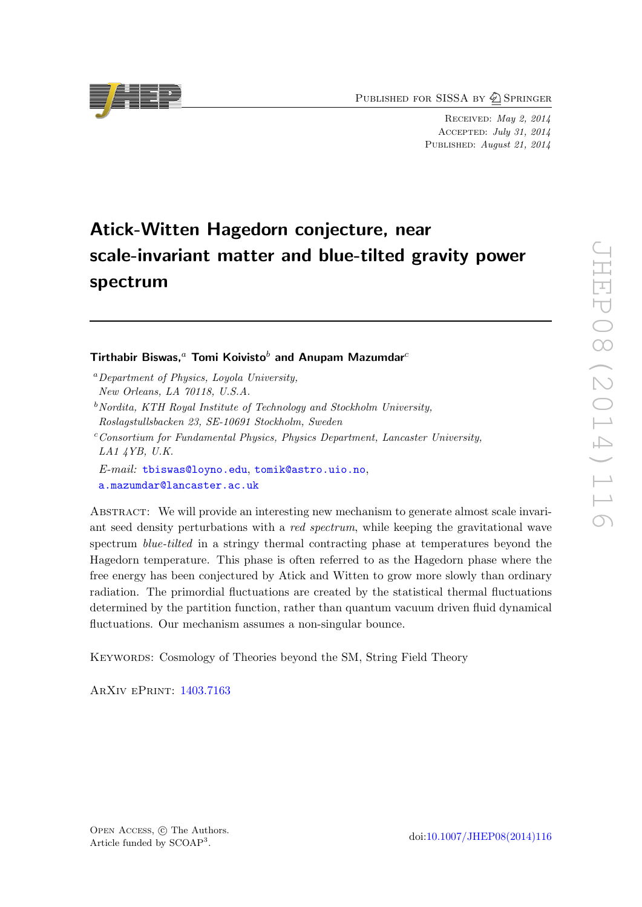PUBLISHED FOR SISSA BY 2 SPRINGER

Received: May 2, 2014 Accepted: July 31, 2014 PUBLISHED: August 21, 2014

# Atick-Witten Hagedorn conjecture, near scale-invariant matter and blue-tilted gravity power spectrum

## Tirthabir Biswas,<sup>a</sup> Tomi Koivisto<sup>b</sup> and Anupam Mazumdar<sup>c</sup>

- <sup>a</sup>Department of Physics, Loyola University, New Orleans, LA 70118, U.S.A.
- $b$ <sup>b</sup>Nordita, KTH Royal Institute of Technology and Stockholm University, Roslagstullsbacken 23, SE-10691 Stockholm, Sweden
- $c$ Consortium for Fundamental Physics, Physics Department, Lancaster University, LA1 4YB, U.K.
- E-mail: [tbiswas@loyno.edu](mailto:tbiswas@loyno.edu), [tomik@astro.uio.no](mailto:tomik@astro.uio.no), [a.mazumdar@lancaster.ac.uk](mailto:a.mazumdar@lancaster.ac.uk)

ABSTRACT: We will provide an interesting new mechanism to generate almost scale invariant seed density perturbations with a red spectrum, while keeping the gravitational wave spectrum *blue-tilted* in a stringy thermal contracting phase at temperatures beyond the Hagedorn temperature. This phase is often referred to as the Hagedorn phase where the free energy has been conjectured by Atick and Witten to grow more slowly than ordinary radiation. The primordial fluctuations are created by the statistical thermal fluctuations determined by the partition function, rather than quantum vacuum driven fluid dynamical fluctuations. Our mechanism assumes a non-singular bounce.

Keywords: Cosmology of Theories beyond the SM, String Field Theory

ArXiv ePrint: [1403.7163](http://arxiv.org/abs/1403.7163)

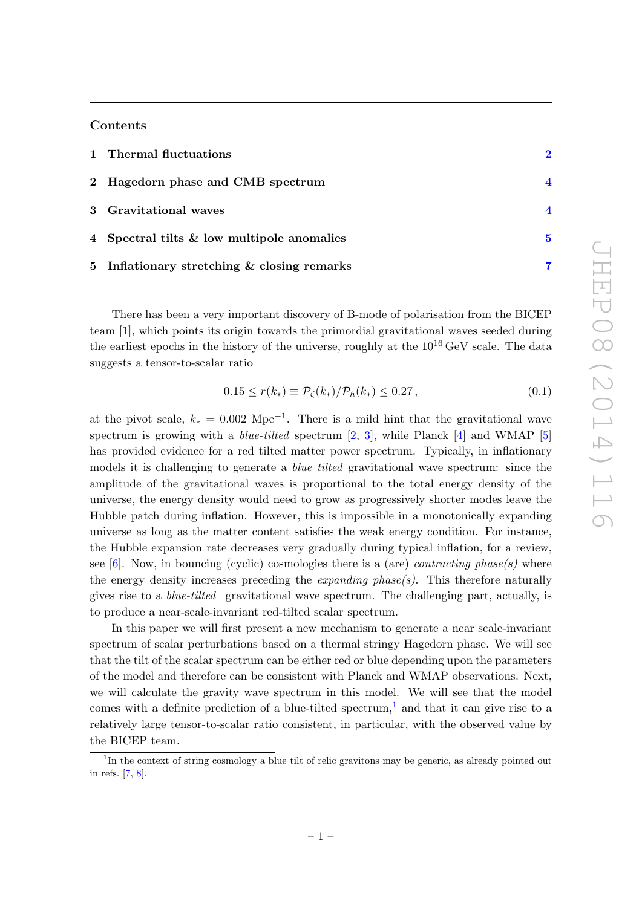## Contents

| 1 Thermal fluctuations                      |   |
|---------------------------------------------|---|
| 2 Hagedorn phase and CMB spectrum           |   |
| 3 Gravitational waves                       |   |
| 4 Spectral tilts & low multipole anomalies  | 5 |
| 5 Inflationary stretching & closing remarks | 7 |

There has been a very important discovery of B-mode of polarisation from the BICEP team [\[1\]](#page-8-0), which points its origin towards the primordial gravitational waves seeded during the earliest epochs in the history of the universe, roughly at the  $10^{16}$  GeV scale. The data suggests a tensor-to-scalar ratio

$$
0.15 \le r(k_*) \equiv \mathcal{P}_{\zeta}(k_*) / \mathcal{P}_h(k_*) \le 0.27 \,, \tag{0.1}
$$

at the pivot scale,  $k_* = 0.002 \text{ Mpc}^{-1}$ . There is a mild hint that the gravitational wave spectrum is growing with a *blue-tilted* spectrum  $[2, 3]$  $[2, 3]$  $[2, 3]$ , while Planck  $[4]$  and WMAP  $[5]$ has provided evidence for a red tilted matter power spectrum. Typically, in inflationary models it is challenging to generate a *blue tilted* gravitational wave spectrum: since the amplitude of the gravitational waves is proportional to the total energy density of the universe, the energy density would need to grow as progressively shorter modes leave the Hubble patch during inflation. However, this is impossible in a monotonically expanding universe as long as the matter content satisfies the weak energy condition. For instance, the Hubble expansion rate decreases very gradually during typical inflation, for a review, see [\[6\]](#page-9-1). Now, in bouncing (cyclic) cosmologies there is a (are) *contracting phase(s)* where the energy density increases preceding the *expanding phase(s)*. This therefore naturally gives rise to a blue-tilted gravitational wave spectrum. The challenging part, actually, is to produce a near-scale-invariant red-tilted scalar spectrum.

In this paper we will first present a new mechanism to generate a near scale-invariant spectrum of scalar perturbations based on a thermal stringy Hagedorn phase. We will see that the tilt of the scalar spectrum can be either red or blue depending upon the parameters of the model and therefore can be consistent with Planck and WMAP observations. Next, we will calculate the gravity wave spectrum in this model. We will see that the model comes with a definite prediction of a blue-tilted spectrum,<sup>[1](#page-1-0)</sup> and that it can give rise to a relatively large tensor-to-scalar ratio consistent, in particular, with the observed value by the BICEP team.

<span id="page-1-0"></span><sup>&</sup>lt;sup>1</sup>In the context of string cosmology a blue tilt of relic gravitons may be generic, as already pointed out in refs. [\[7,](#page-9-2) [8\]](#page-9-3).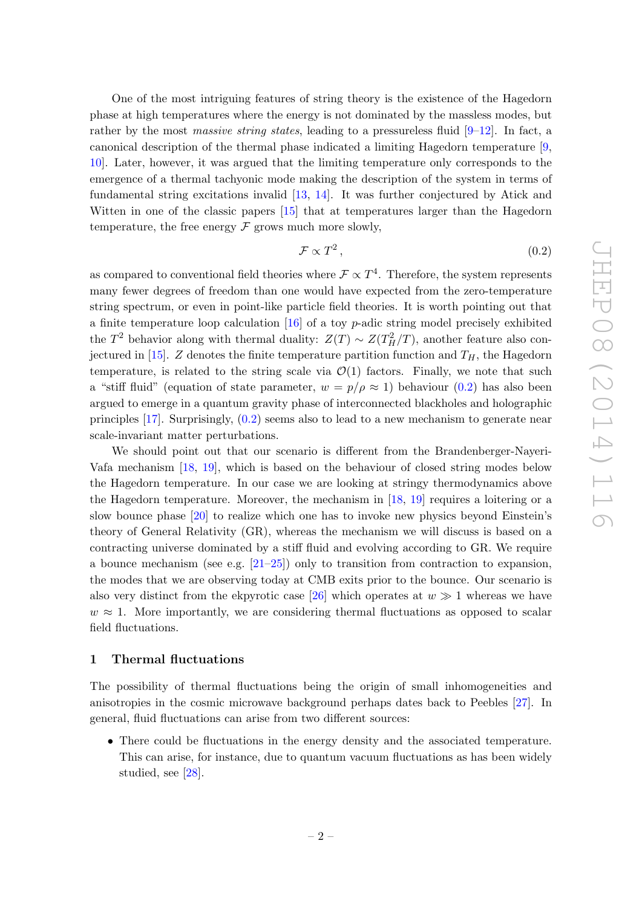One of the most intriguing features of string theory is the existence of the Hagedorn phase at high temperatures where the energy is not dominated by the massless modes, but rather by the most massive string states, leading to a pressureless fluid  $[9-12]$  $[9-12]$ . In fact, a canonical description of the thermal phase indicated a limiting Hagedorn temperature [\[9,](#page-9-4) [10\]](#page-9-6). Later, however, it was argued that the limiting temperature only corresponds to the emergence of a thermal tachyonic mode making the description of the system in terms of fundamental string excitations invalid [\[13,](#page-9-7) [14\]](#page-9-8). It was further conjectured by Atick and Witten in one of the classic papers [\[15\]](#page-9-9) that at temperatures larger than the Hagedorn temperature, the free energy  $\mathcal F$  grows much more slowly,

<span id="page-2-1"></span>
$$
\mathcal{F} \propto T^2 \,,\tag{0.2}
$$

as compared to conventional field theories where  $\mathcal{F} \propto T^4$ . Therefore, the system represents many fewer degrees of freedom than one would have expected from the zero-temperature string spectrum, or even in point-like particle field theories. It is worth pointing out that a finite temperature loop calculation  $[16]$  of a toy p-adic string model precisely exhibited the  $T^2$  behavior along with thermal duality:  $Z(T) \sim Z(T_H^2/T)$ , another feature also con-jectured in [\[15\]](#page-9-9). Z denotes the finite temperature partition function and  $T_H$ , the Hagedorn temperature, is related to the string scale via  $\mathcal{O}(1)$  factors. Finally, we note that such a "stiff fluid" (equation of state parameter,  $w = p/\rho \approx 1$ ) behaviour [\(0.2\)](#page-2-1) has also been argued to emerge in a quantum gravity phase of interconnected blackholes and holographic principles [\[17\]](#page-9-11). Surprisingly, [\(0.2\)](#page-2-1) seems also to lead to a new mechanism to generate near scale-invariant matter perturbations.

We should point out that our scenario is different from the Brandenberger-Nayeri-Vafa mechanism [\[18,](#page-9-12) [19\]](#page-9-13), which is based on the behaviour of closed string modes below the Hagedorn temperature. In our case we are looking at stringy thermodynamics above the Hagedorn temperature. Moreover, the mechanism in  $[18, 19]$  $[18, 19]$  $[18, 19]$  requires a loitering or a slow bounce phase [\[20\]](#page-9-14) to realize which one has to invoke new physics beyond Einstein's theory of General Relativity (GR), whereas the mechanism we will discuss is based on a contracting universe dominated by a stiff fluid and evolving according to GR. We require a bounce mechanism (see e.g. [\[21–](#page-9-15)[25\]](#page-10-0)) only to transition from contraction to expansion, the modes that we are observing today at CMB exits prior to the bounce. Our scenario is also very distinct from the ekpyrotic case [\[26\]](#page-10-1) which operates at  $w \gg 1$  whereas we have  $w \approx 1$ . More importantly, we are considering thermal fluctuations as opposed to scalar field fluctuations.

## <span id="page-2-0"></span>1 Thermal fluctuations

The possibility of thermal fluctuations being the origin of small inhomogeneities and anisotropies in the cosmic microwave background perhaps dates back to Peebles [\[27\]](#page-10-2). In general, fluid fluctuations can arise from two different sources:

• There could be fluctuations in the energy density and the associated temperature. This can arise, for instance, due to quantum vacuum fluctuations as has been widely studied, see [\[28\]](#page-10-3).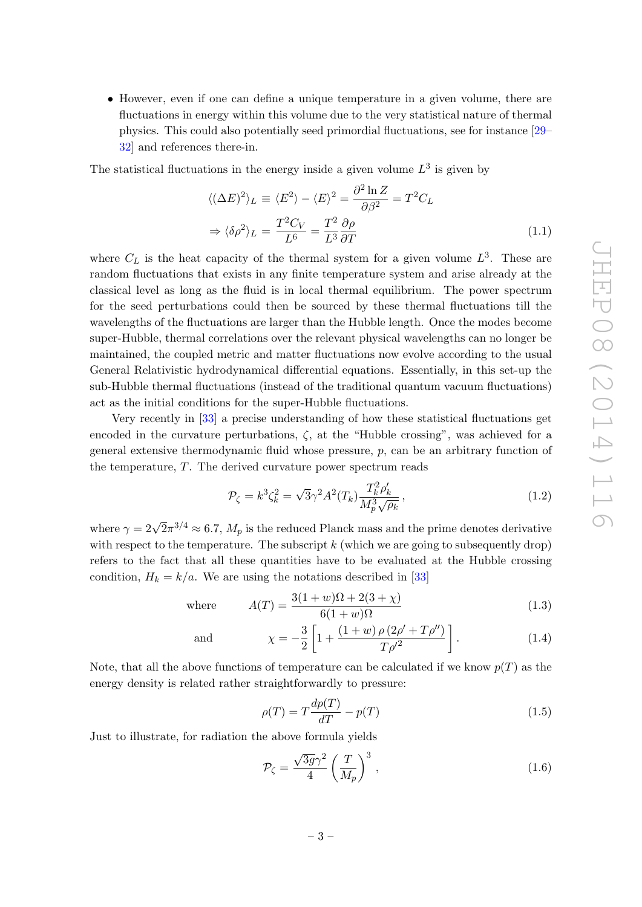• However, even if one can define a unique temperature in a given volume, there are fluctuations in energy within this volume due to the very statistical nature of thermal physics. This could also potentially seed primordial fluctuations, see for instance [\[29–](#page-10-4) [32\]](#page-10-5) and references there-in.

The statistical fluctuations in the energy inside a given volume  $L^3$  is given by

$$
\langle (\Delta E)^2 \rangle_L \equiv \langle E^2 \rangle - \langle E \rangle^2 = \frac{\partial^2 \ln Z}{\partial \beta^2} = T^2 C_L
$$
  

$$
\Rightarrow \langle \delta \rho^2 \rangle_L = \frac{T^2 C_V}{L^6} = \frac{T^2}{L^3} \frac{\partial \rho}{\partial T}
$$
(1.1)

where  $C_L$  is the heat capacity of the thermal system for a given volume  $L^3$ . These are random fluctuations that exists in any finite temperature system and arise already at the classical level as long as the fluid is in local thermal equilibrium. The power spectrum for the seed perturbations could then be sourced by these thermal fluctuations till the wavelengths of the fluctuations are larger than the Hubble length. Once the modes become super-Hubble, thermal correlations over the relevant physical wavelengths can no longer be maintained, the coupled metric and matter fluctuations now evolve according to the usual General Relativistic hydrodynamical differential equations. Essentially, in this set-up the sub-Hubble thermal fluctuations (instead of the traditional quantum vacuum fluctuations) act as the initial conditions for the super-Hubble fluctuations.

Very recently in [\[33\]](#page-10-6) a precise understanding of how these statistical fluctuations get encoded in the curvature perturbations,  $\zeta$ , at the "Hubble crossing", was achieved for a general extensive thermodynamic fluid whose pressure,  $p$ , can be an arbitrary function of the temperature, T. The derived curvature power spectrum reads

$$
\mathcal{P}_{\zeta} = k^3 \zeta_k^2 = \sqrt{3} \gamma^2 A^2(T_k) \frac{T_k^2 \rho_k'}{M_p^3 \sqrt{\rho_k}},
$$
\n(1.2)

where  $\gamma = 2\sqrt{2}\pi^{3/4} \approx 6.7$ ,  $M_p$  is the reduced Planck mass and the prime denotes derivative with respect to the temperature. The subscript  $k$  (which we are going to subsequently drop) refers to the fact that all these quantities have to be evaluated at the Hubble crossing condition,  $H_k = k/a$ . We are using the notations described in [\[33\]](#page-10-6)

where 
$$
A(T) = \frac{3(1+w)\Omega + 2(3+\chi)}{6(1+w)\Omega}
$$
 (1.3)

$$
\chi = -\frac{3}{2} \left[ 1 + \frac{(1+w)\,\rho\,(2\rho' + T\rho'')}{T\rho'^2} \right].\tag{1.4}
$$

Note, that all the above functions of temperature can be calculated if we know  $p(T)$  as the energy density is related rather straightforwardly to pressure:

$$
\rho(T) = T \frac{dp(T)}{dT} - p(T) \tag{1.5}
$$

Just to illustrate, for radiation the above formula yields

and

$$
\mathcal{P}_{\zeta} = \frac{\sqrt{3g}\gamma^2}{4} \left(\frac{T}{M_p}\right)^3,\tag{1.6}
$$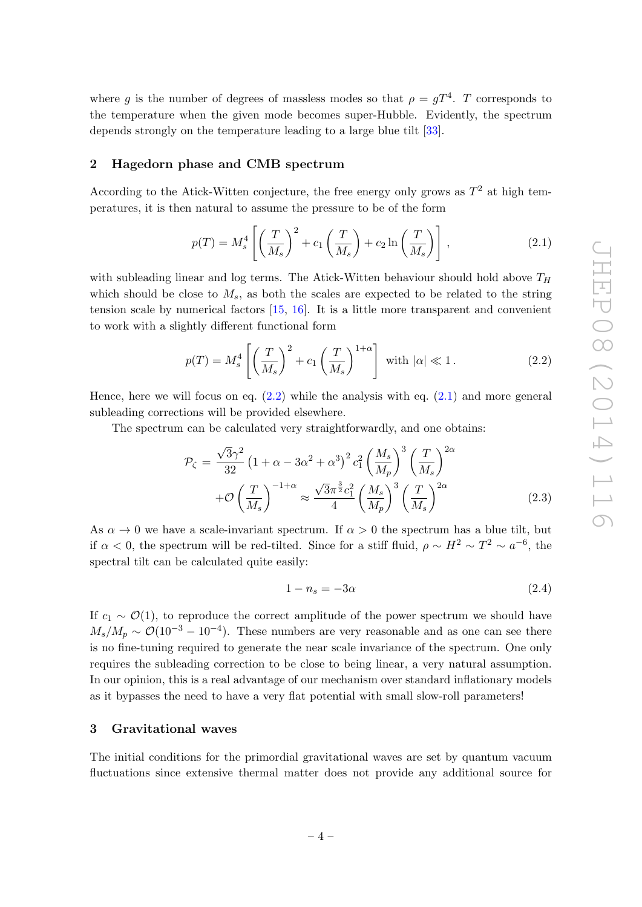where g is the number of degrees of massless modes so that  $\rho = gT^4$ . T corresponds to the temperature when the given mode becomes super-Hubble. Evidently, the spectrum depends strongly on the temperature leading to a large blue tilt [\[33\]](#page-10-6).

#### <span id="page-4-0"></span>2 Hagedorn phase and CMB spectrum

According to the Atick-Witten conjecture, the free energy only grows as  $T^2$  at high temperatures, it is then natural to assume the pressure to be of the form

<span id="page-4-3"></span>
$$
p(T) = M_s^4 \left[ \left( \frac{T}{M_s} \right)^2 + c_1 \left( \frac{T}{M_s} \right) + c_2 \ln \left( \frac{T}{M_s} \right) \right],
$$
 (2.1)

with subleading linear and log terms. The Atick-Witten behaviour should hold above  $T_H$ which should be close to  $M_s$ , as both the scales are expected to be related to the string tension scale by numerical factors [\[15,](#page-9-9) [16\]](#page-9-10). It is a little more transparent and convenient to work with a slightly different functional form

<span id="page-4-2"></span>
$$
p(T) = M_s^4 \left[ \left( \frac{T}{M_s} \right)^2 + c_1 \left( \frac{T}{M_s} \right)^{1+\alpha} \right] \text{ with } |\alpha| \ll 1. \tag{2.2}
$$

Hence, here we will focus on eq.  $(2.2)$  while the analysis with eq.  $(2.1)$  and more general subleading corrections will be provided elsewhere.

The spectrum can be calculated very straightforwardly, and one obtains:

$$
\mathcal{P}_{\zeta} = \frac{\sqrt{3}\gamma^2}{32} \left(1 + \alpha - 3\alpha^2 + \alpha^3\right)^2 c_1^2 \left(\frac{M_s}{M_p}\right)^3 \left(\frac{T}{M_s}\right)^{2\alpha} \n+ \mathcal{O}\left(\frac{T}{M_s}\right)^{-1+\alpha} \approx \frac{\sqrt{3}\pi^{\frac{3}{2}}c_1^2}{4} \left(\frac{M_s}{M_p}\right)^3 \left(\frac{T}{M_s}\right)^{2\alpha}
$$
\n(2.3)

As  $\alpha \to 0$  we have a scale-invariant spectrum. If  $\alpha > 0$  the spectrum has a blue tilt, but if  $\alpha < 0$ , the spectrum will be red-tilted. Since for a stiff fluid,  $\rho \sim H^2 \sim T^2 \sim a^{-6}$ , the spectral tilt can be calculated quite easily:

$$
1 - n_s = -3\alpha \tag{2.4}
$$

If  $c_1 \sim \mathcal{O}(1)$ , to reproduce the correct amplitude of the power spectrum we should have  $M_s/M_p \sim \mathcal{O}(10^{-3} - 10^{-4})$ . These numbers are very reasonable and as one can see there is no fine-tuning required to generate the near scale invariance of the spectrum. One only requires the subleading correction to be close to being linear, a very natural assumption. In our opinion, this is a real advantage of our mechanism over standard inflationary models as it bypasses the need to have a very flat potential with small slow-roll parameters!

## <span id="page-4-1"></span>3 Gravitational waves

The initial conditions for the primordial gravitational waves are set by quantum vacuum fluctuations since extensive thermal matter does not provide any additional source for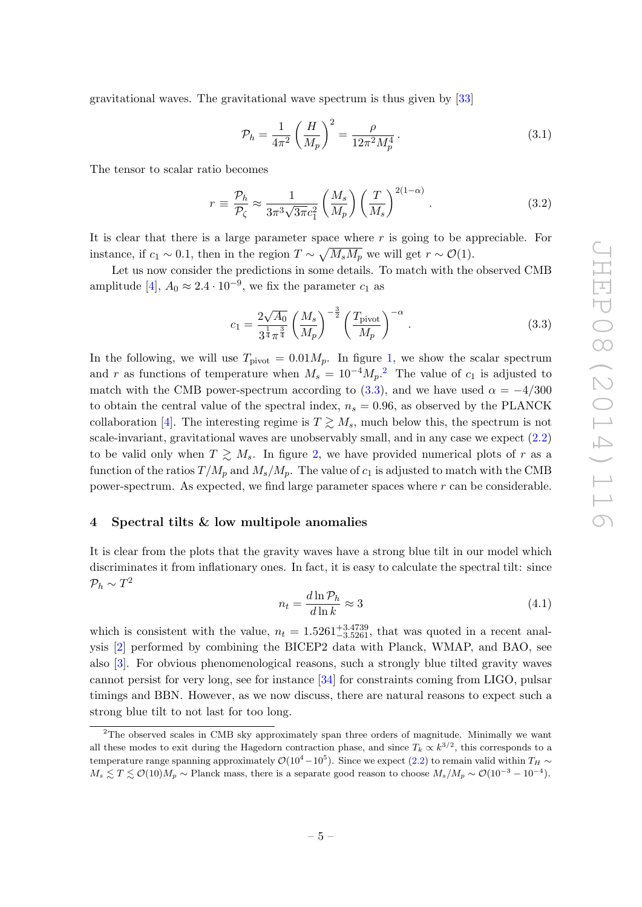gravitational waves. The gravitational wave spectrum is thus given by [\[33\]](#page-10-6)

$$
\mathcal{P}_h = \frac{1}{4\pi^2} \left(\frac{H}{M_p}\right)^2 = \frac{\rho}{12\pi^2 M_p^4} \,. \tag{3.1}
$$

The tensor to scalar ratio becomes

$$
r \equiv \frac{\mathcal{P}_h}{\mathcal{P}_\zeta} \approx \frac{1}{3\pi^3 \sqrt{3\pi} c_1^2} \left(\frac{M_s}{M_p}\right) \left(\frac{T}{M_s}\right)^{2(1-\alpha)}.
$$
 (3.2)

It is clear that there is a large parameter space where r is going to be appreciable. For instance, if  $c_1 \sim 0.1$ , then in the region  $T \sim \sqrt{M_s M_p}$  we will get  $r \sim \mathcal{O}(1)$ .

Let us now consider the predictions in some details. To match with the observed CMB amplitude [\[4\]](#page-8-3),  $A_0 \approx 2.4 \cdot 10^{-9}$ , we fix the parameter  $c_1$  as

<span id="page-5-2"></span>
$$
c_1 = \frac{2\sqrt{A_0}}{3^{\frac{1}{4}} \pi^{\frac{3}{4}}} \left(\frac{M_s}{M_p}\right)^{-\frac{3}{2}} \left(\frac{T_{\text{pivot}}}{M_p}\right)^{-\alpha}.
$$
 (3.3)

In the following, we will use  $T_{\text{pivot}} = 0.01 M_p$ . In figure [1,](#page-6-0) we show the scalar spectrum and r as functions of temperature when  $M_s = 10^{-4} M_p$ .<sup>[2](#page-5-1)</sup> The value of  $c_1$  is adjusted to match with the CMB power-spectrum according to [\(3.3\)](#page-5-2), and we have used  $\alpha = -4/300$ to obtain the central value of the spectral index,  $n_s = 0.96$ , as observed by the PLANCK collaboration [\[4\]](#page-8-3). The interesting regime is  $T \geq M_s$ , much below this, the spectrum is not scale-invariant, gravitational waves are unobservably small, and in any case we expect [\(2.2\)](#page-4-2) to be valid only when  $T \geq M_s$ . In figure [2,](#page-6-1) we have provided numerical plots of r as a function of the ratios  $T/M_p$  and  $M_s/M_p$ . The value of  $c_1$  is adjusted to match with the CMB power-spectrum. As expected, we find large parameter spaces where r can be considerable.

## <span id="page-5-0"></span>4 Spectral tilts & low multipole anomalies

It is clear from the plots that the gravity waves have a strong blue tilt in our model which discriminates it from inflationary ones. In fact, it is easy to calculate the spectral tilt: since  $\mathcal{P}_h \sim T^2$ 

$$
n_t = \frac{d \ln \mathcal{P}_h}{d \ln k} \approx 3\tag{4.1}
$$

which is consistent with the value,  $n_t = 1.5261_{-3.5261}^{+3.4739}$ , that was quoted in a recent analysis [\[2\]](#page-8-1) performed by combining the BICEP2 data with Planck, WMAP, and BAO, see also [\[3\]](#page-8-2). For obvious phenomenological reasons, such a strongly blue tilted gravity waves cannot persist for very long, see for instance [\[34\]](#page-10-7) for constraints coming from LIGO, pulsar timings and BBN. However, as we now discuss, there are natural reasons to expect such a strong blue tilt to not last for too long.

<span id="page-5-1"></span><sup>&</sup>lt;sup>2</sup>The observed scales in CMB sky approximately span three orders of magnitude. Minimally we want all these modes to exit during the Hagedorn contraction phase, and since  $T_k \propto k^{3/2}$ , this corresponds to a temperature range spanning approximately  $\mathcal{O}(10^4-10^5)$ . Since we expect [\(2.2\)](#page-4-2) to remain valid within  $T_H \sim$  $M_s \lesssim T \lesssim \mathcal{O}(10) M_p \sim \text{Planck mass, there is a separate good reason to choose } M_s / M_p \sim \mathcal{O}(10^{-3} - 10^{-4}).$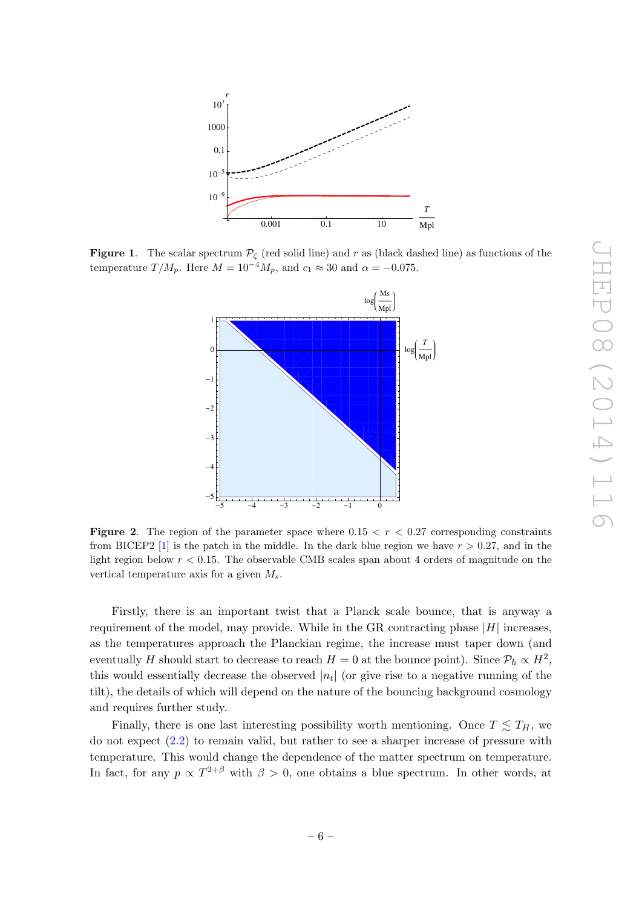

<span id="page-6-0"></span>**Figure 1.** The scalar spectrum  $\mathcal{P}_{\zeta}$  (red solid line) and r as (black dashed line) as functions of the temperature  $T/M_p$ . Here  $M = 10^{-4} M_p$ , and  $c_1 \approx 30$  and  $\alpha = -0.075$ .



<span id="page-6-1"></span>**Figure 2.** The region of the parameter space where  $0.15 < r < 0.27$  corresponding constraints from BICEP2 [\[1\]](#page-8-0) is the patch in the middle. In the dark blue region we have  $r > 0.27$ , and in the light region below  $r < 0.15$ . The observable CMB scales span about 4 orders of magnitude on the vertical temperature axis for a given  $M_s$ .

Firstly, there is an important twist that a Planck scale bounce, that is anyway a requirement of the model, may provide. While in the GR contracting phase  $|H|$  increases, as the temperatures approach the Planckian regime, the increase must taper down (and eventually H should start to decrease to reach  $H = 0$  at the bounce point). Since  $\mathcal{P}_h \propto H^2$ , this would essentially decrease the observed  $|n_t|$  (or give rise to a negative running of the tilt), the details of which will depend on the nature of the bouncing background cosmology and requires further study.

Finally, there is one last interesting possibility worth mentioning. Once  $T \leq T_H$ , we do not expect [\(2.2\)](#page-4-2) to remain valid, but rather to see a sharper increase of pressure with temperature. This would change the dependence of the matter spectrum on temperature. In fact, for any  $p \propto T^{2+\beta}$  with  $\beta > 0$ , one obtains a blue spectrum. In other words, at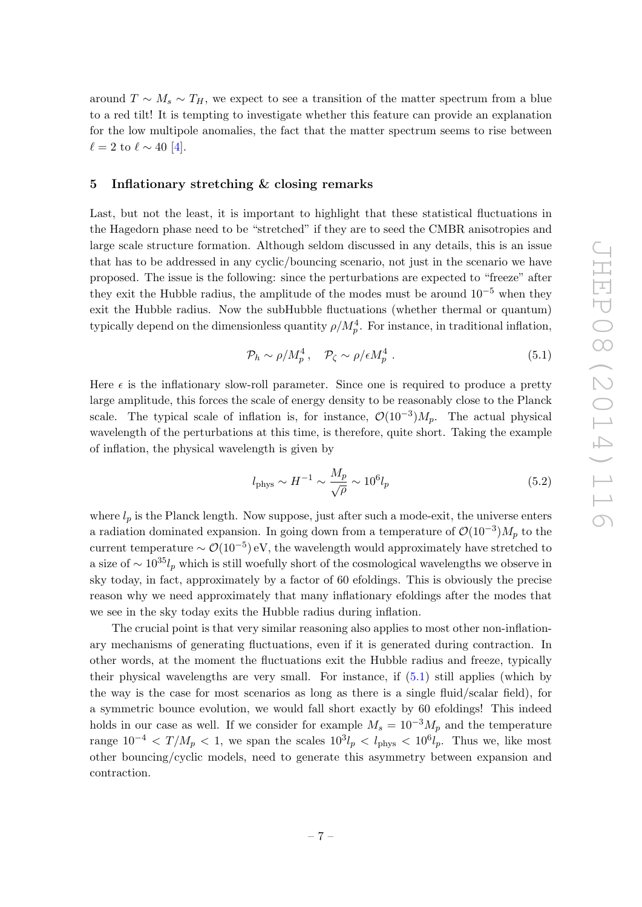around  $T \sim M_s \sim T_H$ , we expect to see a transition of the matter spectrum from a blue to a red tilt! It is tempting to investigate whether this feature can provide an explanation for the low multipole anomalies, the fact that the matter spectrum seems to rise between  $\ell = 2$  to  $\ell \sim 40$  [\[4\]](#page-8-3).

### <span id="page-7-0"></span>5 Inflationary stretching & closing remarks

Last, but not the least, it is important to highlight that these statistical fluctuations in the Hagedorn phase need to be "stretched" if they are to seed the CMBR anisotropies and large scale structure formation. Although seldom discussed in any details, this is an issue that has to be addressed in any cyclic/bouncing scenario, not just in the scenario we have proposed. The issue is the following: since the perturbations are expected to "freeze" after they exit the Hubble radius, the amplitude of the modes must be around  $10^{-5}$  when they exit the Hubble radius. Now the subHubble fluctuations (whether thermal or quantum) typically depend on the dimensionless quantity  $\rho/M_p^4$ . For instance, in traditional inflation,

<span id="page-7-1"></span>
$$
\mathcal{P}_h \sim \rho / M_p^4 \,, \quad \mathcal{P}_\zeta \sim \rho / \epsilon M_p^4 \,. \tag{5.1}
$$

Here  $\epsilon$  is the inflationary slow-roll parameter. Since one is required to produce a pretty large amplitude, this forces the scale of energy density to be reasonably close to the Planck scale. The typical scale of inflation is, for instance,  $\mathcal{O}(10^{-3})M_p$ . The actual physical wavelength of the perturbations at this time, is therefore, quite short. Taking the example of inflation, the physical wavelength is given by

$$
l_{\rm phys} \sim H^{-1} \sim \frac{M_p}{\sqrt{\rho}} \sim 10^6 l_p \tag{5.2}
$$

where  $l_p$  is the Planck length. Now suppose, just after such a mode-exit, the universe enters a radiation dominated expansion. In going down from a temperature of  $\mathcal{O}(10^{-3})M_p$  to the current temperature  $\sim \mathcal{O}(10^{-5})$  eV, the wavelength would approximately have stretched to a size of  $\sim 10^{35}l_p$  which is still woefully short of the cosmological wavelengths we observe in sky today, in fact, approximately by a factor of 60 efoldings. This is obviously the precise reason why we need approximately that many inflationary efoldings after the modes that we see in the sky today exits the Hubble radius during inflation.

The crucial point is that very similar reasoning also applies to most other non-inflationary mechanisms of generating fluctuations, even if it is generated during contraction. In other words, at the moment the fluctuations exit the Hubble radius and freeze, typically their physical wavelengths are very small. For instance, if [\(5.1\)](#page-7-1) still applies (which by the way is the case for most scenarios as long as there is a single fluid/scalar field), for a symmetric bounce evolution, we would fall short exactly by 60 efoldings! This indeed holds in our case as well. If we consider for example  $M_s = 10^{-3} M_p$  and the temperature range  $10^{-4} < T/M_p < 1$ , we span the scales  $10^3 l_p < l_{\rm phys} < 10^6 l_p$ . Thus we, like most other bouncing/cyclic models, need to generate this asymmetry between expansion and contraction.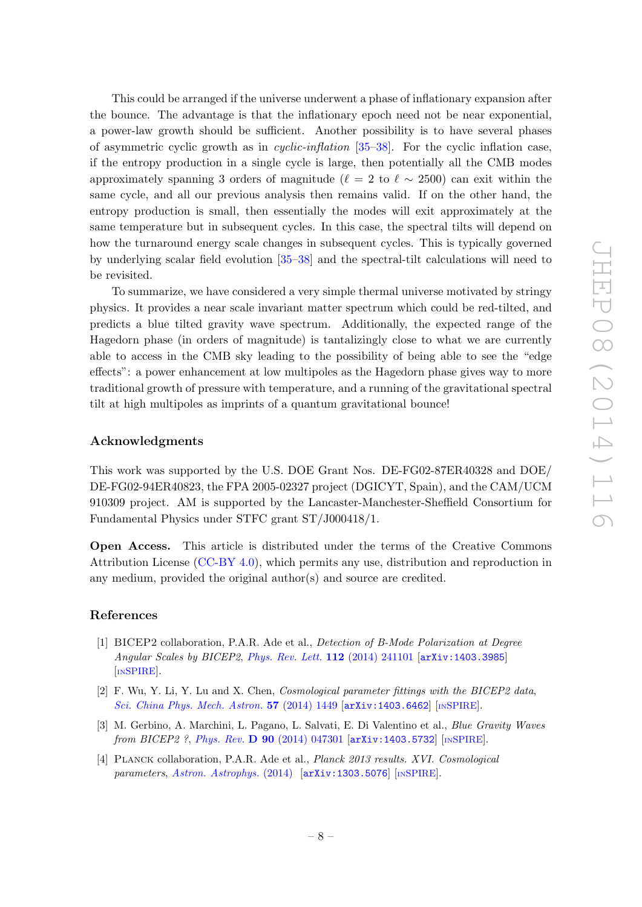This could be arranged if the universe underwent a phase of inflationary expansion after the bounce. The advantage is that the inflationary epoch need not be near exponential, a power-law growth should be sufficient. Another possibility is to have several phases of asymmetric cyclic growth as in cyclic-inflation [\[35](#page-10-8)[–38\]](#page-10-9). For the cyclic inflation case, if the entropy production in a single cycle is large, then potentially all the CMB modes approximately spanning 3 orders of magnitude ( $\ell = 2$  to  $\ell \sim 2500$ ) can exit within the same cycle, and all our previous analysis then remains valid. If on the other hand, the entropy production is small, then essentially the modes will exit approximately at the same temperature but in subsequent cycles. In this case, the spectral tilts will depend on how the turnaround energy scale changes in subsequent cycles. This is typically governed by underlying scalar field evolution [\[35–](#page-10-8)[38\]](#page-10-9) and the spectral-tilt calculations will need to be revisited.

To summarize, we have considered a very simple thermal universe motivated by stringy physics. It provides a near scale invariant matter spectrum which could be red-tilted, and predicts a blue tilted gravity wave spectrum. Additionally, the expected range of the Hagedorn phase (in orders of magnitude) is tantalizingly close to what we are currently able to access in the CMB sky leading to the possibility of being able to see the "edge effects": a power enhancement at low multipoles as the Hagedorn phase gives way to more traditional growth of pressure with temperature, and a running of the gravitational spectral tilt at high multipoles as imprints of a quantum gravitational bounce!

## Acknowledgments

This work was supported by the U.S. DOE Grant Nos. DE-FG02-87ER40328 and DOE/ DE-FG02-94ER40823, the FPA 2005-02327 project (DGICYT, Spain), and the CAM/UCM 910309 project. AM is supported by the Lancaster-Manchester-Sheffield Consortium for Fundamental Physics under STFC grant ST/J000418/1.

Open Access. This article is distributed under the terms of the Creative Commons Attribution License [\(CC-BY 4.0\)](http://creativecommons.org/licenses/by/4.0/), which permits any use, distribution and reproduction in any medium, provided the original author(s) and source are credited.

## References

- <span id="page-8-0"></span>[1] BICEP2 collaboration, P.A.R. Ade et al., Detection of B-Mode Polarization at Degree Angular Scales by BICEP2, [Phys. Rev. Lett.](http://dx.doi.org/10.1103/PhysRevLett.112.241101) 112 (2014) 241101 [[arXiv:1403.3985](http://arxiv.org/abs/1403.3985)] [IN[SPIRE](http://inspirehep.net/search?p=find+EPRINT+arXiv:1403.3985)].
- <span id="page-8-1"></span>[2] F. Wu, Y. Li, Y. Lu and X. Chen, Cosmological parameter fittings with the BICEP2 data, [Sci. China Phys. Mech. Astron.](http://dx.doi.org/10.1007/s11433-014-5516-z) 57 (2014) 1449 [[arXiv:1403.6462](http://arxiv.org/abs/1403.6462)] [IN[SPIRE](http://inspirehep.net/search?p=find+EPRINT+arXiv:1403.6462)].
- <span id="page-8-2"></span>[3] M. Gerbino, A. Marchini, L. Pagano, L. Salvati, E. Di Valentino et al., Blue Gravity Waves from BICEP2 ?, Phys. Rev. D 90 [\(2014\) 047301](http://dx.doi.org/10.1103/PhysRevD.90.047301) [[arXiv:1403.5732](http://arxiv.org/abs/1403.5732)] [IN[SPIRE](http://inspirehep.net/search?p=find+EPRINT+arXiv:1403.5732)].
- <span id="page-8-3"></span>[4] Planck collaboration, P.A.R. Ade et al., Planck 2013 results. XVI. Cosmological parameters, [Astron. Astrophys.](http://dx.doi.org/10.1051/0004-6361/201321591)  $(2014)$  [[arXiv:1303.5076](http://arxiv.org/abs/1303.5076)] [IN[SPIRE](http://inspirehep.net/search?p=find+EPRINT+arXiv:1303.5076)].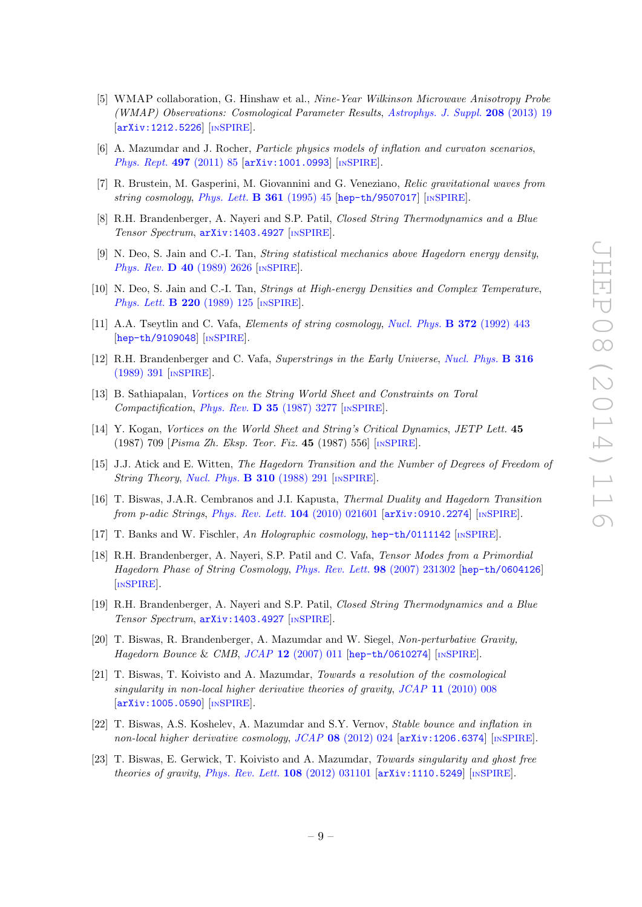- <span id="page-9-0"></span>[5] WMAP collaboration, G. Hinshaw et al., Nine-Year Wilkinson Microwave Anisotropy Probe (WMAP) Observations: Cosmological Parameter Results, [Astrophys. J. Suppl.](http://dx.doi.org/10.1088/0067-0049/208/2/19) 208 (2013) 19 [[arXiv:1212.5226](http://arxiv.org/abs/1212.5226)] [IN[SPIRE](http://inspirehep.net/search?p=find+EPRINT+arXiv:1212.5226)].
- <span id="page-9-1"></span>[6] A. Mazumdar and J. Rocher, Particle physics models of inflation and curvaton scenarios, [Phys. Rept.](http://dx.doi.org/10.1016/j.physrep.2010.08.001) 497 (2011) 85 [[arXiv:1001.0993](http://arxiv.org/abs/1001.0993)] [IN[SPIRE](http://inspirehep.net/search?p=find+EPRINT+arXiv:1001.0993)].
- <span id="page-9-2"></span>[7] R. Brustein, M. Gasperini, M. Giovannini and G. Veneziano, Relic gravitational waves from string cosmology, [Phys. Lett.](http://dx.doi.org/10.1016/0370-2693(95)01128-D)  $\bf{B}$  361 (1995) 45 [[hep-th/9507017](http://arxiv.org/abs/hep-th/9507017)] [IN[SPIRE](http://inspirehep.net/search?p=find+EPRINT+hep-th/9507017)].
- <span id="page-9-3"></span>[8] R.H. Brandenberger, A. Nayeri and S.P. Patil, Closed String Thermodynamics and a Blue Tensor Spectrum, [arXiv:1403.4927](http://arxiv.org/abs/1403.4927) [IN[SPIRE](http://inspirehep.net/search?p=find+EPRINT+arXiv:1403.4927)].
- <span id="page-9-4"></span>[9] N. Deo, S. Jain and C.-I. Tan, String statistical mechanics above Hagedorn energy density, Phys. Rev. D 40 [\(1989\) 2626](http://dx.doi.org/10.1103/PhysRevD.40.2626) [IN[SPIRE](http://inspirehep.net/search?p=find+J+Phys.Rev.,D40,2626)].
- <span id="page-9-6"></span>[10] N. Deo, S. Jain and C.-I. Tan, *Strings at High-energy Densities and Complex Temperature*, [Phys. Lett.](http://dx.doi.org/10.1016/0370-2693(89)90024-5) **B 220** (1989) 125 [IN[SPIRE](http://inspirehep.net/search?p=find+J+Phys.Lett.,B220,125)].
- [11] A.A. Tseytlin and C. Vafa, *Elements of string cosmology, [Nucl. Phys.](http://dx.doi.org/10.1016/0550-3213(92)90327-8)* **B 372** (1992) 443 [[hep-th/9109048](http://arxiv.org/abs/hep-th/9109048)] [IN[SPIRE](http://inspirehep.net/search?p=find+J+Nucl.Phys.,B372,443)].
- <span id="page-9-5"></span>[12] R.H. Brandenberger and C. Vafa, Superstrings in the Early Universe, [Nucl. Phys.](http://dx.doi.org/10.1016/0550-3213(89)90037-0) B 316 [\(1989\) 391](http://dx.doi.org/10.1016/0550-3213(89)90037-0) [IN[SPIRE](http://inspirehep.net/search?p=find+J+Nucl.Phys.,B316,391)].
- <span id="page-9-7"></span>[13] B. Sathiapalan, Vortices on the String World Sheet and Constraints on Toral Compactification, Phys. Rev. **D 35** [\(1987\) 3277](http://dx.doi.org/10.1103/PhysRevD.35.3277) [IN[SPIRE](http://inspirehep.net/search?p=find+J+Phys.Rev.,D35,3277)].
- <span id="page-9-8"></span>[14] Y. Kogan, Vortices on the World Sheet and String's Critical Dynamics, JETP Lett. 45 (1987) 709 [Pisma Zh. Eksp. Teor. Fiz. 45 (1987) 556] [IN[SPIRE](http://inspirehep.net/search?p=find+J+JETPLett.,45,709)].
- <span id="page-9-9"></span>[15] J.J. Atick and E. Witten, The Hagedorn Transition and the Number of Degrees of Freedom of String Theory, [Nucl. Phys.](http://dx.doi.org/10.1016/0550-3213(88)90151-4) **B 310** (1988) 291 [IN[SPIRE](http://inspirehep.net/search?p=find+J+Nucl.Phys.,B310,291)].
- <span id="page-9-10"></span>[16] T. Biswas, J.A.R. Cembranos and J.I. Kapusta, Thermal Duality and Hagedorn Transition from p-adic Strings, [Phys. Rev. Lett.](http://dx.doi.org/10.1103/PhysRevLett.104.021601) 104 (2010) 021601 [[arXiv:0910.2274](http://arxiv.org/abs/0910.2274)] [IN[SPIRE](http://inspirehep.net/search?p=find+EPRINT+arXiv:0910.2274)].
- <span id="page-9-11"></span>[17] T. Banks and W. Fischler, An Holographic cosmology, [hep-th/0111142](http://arxiv.org/abs/hep-th/0111142) [IN[SPIRE](http://inspirehep.net/search?p=find+EPRINT+hep-th/0111142)].
- <span id="page-9-12"></span>[18] R.H. Brandenberger, A. Nayeri, S.P. Patil and C. Vafa, Tensor Modes from a Primordial Hagedorn Phase of String Cosmology, [Phys. Rev. Lett.](http://dx.doi.org/10.1103/PhysRevLett.98.231302) 98 (2007) 231302 [[hep-th/0604126](http://arxiv.org/abs/hep-th/0604126)] [IN[SPIRE](http://inspirehep.net/search?p=find+J+Phys.Rev.Lett.,98,231302)].
- <span id="page-9-13"></span>[19] R.H. Brandenberger, A. Nayeri and S.P. Patil, Closed String Thermodynamics and a Blue Tensor Spectrum, [arXiv:1403.4927](http://arxiv.org/abs/1403.4927) [IN[SPIRE](http://inspirehep.net/search?p=find+EPRINT+arXiv:1403.4927)].
- <span id="page-9-14"></span>[20] T. Biswas, R. Brandenberger, A. Mazumdar and W. Siegel, Non-perturbative Gravity, Hagedorn Bounce & CMB,  $JCAP$  12 [\(2007\) 011](http://dx.doi.org/10.1088/1475-7516/2007/12/011) [[hep-th/0610274](http://arxiv.org/abs/hep-th/0610274)] [IN[SPIRE](http://inspirehep.net/search?p=find+EPRINT+hep-th/0610274)].
- <span id="page-9-15"></span>[21] T. Biswas, T. Koivisto and A. Mazumdar, Towards a resolution of the cosmological singularity in non-local higher derivative theories of gravity, JCAP 11 [\(2010\) 008](http://dx.doi.org/10.1088/1475-7516/2010/11/008) [[arXiv:1005.0590](http://arxiv.org/abs/1005.0590)] [IN[SPIRE](http://inspirehep.net/search?p=find+J+JCAP,1011,008)].
- [22] T. Biswas, A.S. Koshelev, A. Mazumdar and S.Y. Vernov, Stable bounce and inflation in non-local higher derivative cosmology, JCAP 08 [\(2012\) 024](http://dx.doi.org/10.1088/1475-7516/2012/08/024) [[arXiv:1206.6374](http://arxiv.org/abs/1206.6374)] [IN[SPIRE](http://inspirehep.net/search?p=find+J+JCAP,1208,024)].
- [23] T. Biswas, E. Gerwick, T. Koivisto and A. Mazumdar, Towards singularity and ghost free theories of gravity, [Phys. Rev. Lett.](http://dx.doi.org/10.1103/PhysRevLett.108.031101)  $108$  (2012) 031101  $\ar{xiv:1110.5249}$  [IN[SPIRE](http://inspirehep.net/search?p=find+J+Phys.Rev.Lett.,108,031101)].